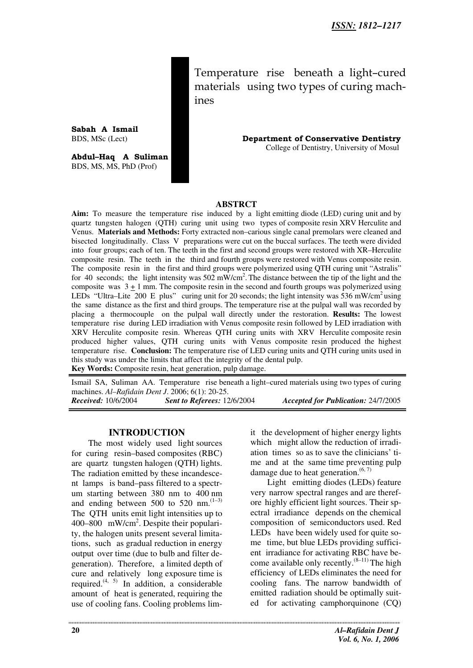Temperature rise beneath a light–cured materials using two types of curing machines

BDS, MSc (Lect) **Department of Conservative Dentistry** College of Dentistry, University of Mosul

#### **ABSTRCT**

**Aim:** To measure the temperature rise induced by a light emitting diode (LED) curing unit and by quartz tungsten halogen (QTH) curing unit using two types of composite resin XRV Herculite and Venus. **Materials and Methods:** Forty extracted non–carious single canal premolars were cleaned and bisected longitudinally. Class V preparations were cut on the buccal surfaces. The teeth were divided into four groups; each of ten. The teeth in the first and second groups were restored with XR–Herculite composite resin. The teeth in the third and fourth groups were restored with Venus composite resin. The composite resin in the first and third groups were polymerized using QTH curing unit "Astralis" for 40 seconds; the light intensity was 502 mW/cm<sup>2</sup>. The distance between the tip of the light and the composite was  $3 \pm 1$  mm. The composite resin in the second and fourth groups was polymerized using LEDs "Ultra–Lite 200 E plus" curing unit for 20 seconds; the light intensity was 536 mW/cm<sup>2</sup>using the same distance as the first and third groups. The temperature rise at the pulpal wall was recorded by placing a thermocouple on the pulpal wall directly under the restoration. **Results:** The lowest temperature rise during LED irradiation with Venus composite resin followed by LED irradiation with XRV Herculite composite resin. Whereas QTH curing units with XRV Herculite composite resin produced higher values, QTH curing units with Venus composite resin produced the highest temperature rise. **Conclusion:** The temperature rise of LED curing units and QTH curing units used in this study was under the limits that affect the integrity of the dental pulp. **Key Words:** Composite resin, heat generation, pulp damage.

Ismail SA, Suliman AA. Temperature rise beneath a light–cured materials using two types of curing machines. *Al–Rafidain Dent J*. 2006; 6(1): 20-25. *Received:* 10/6/2004 *Sent to Referees:* 12/6/2004 *Accepted for Publication:* 24/7/2005

#### **INTRODUCTION**

The most widely used light sources for curing resin–based composites (RBC) are quartz tungsten halogen (QTH) lights. The radiation emitted by these incandescent lamps is band–pass filtered to a spectrum starting between 380 nm to 400 nm and ending between 500 to 520 nm. $(1-3)$ The QTH units emit light intensities up to 400–800 mW/cm<sup>2</sup>. Despite their popularity, the halogen units present several limitations, such as gradual reduction in energy output over time (due to bulb and filter degeneration). Therefore, a limited depth of cure and relatively long exposure time is required.<sup>(4, 5)</sup> In addition, a considerable amount of heat is generated, requiring the use of cooling fans. Cooling problems limit the development of higher energy lights which might allow the reduction of irradiation times so as to save the clinicians' time and at the same time preventing pulp damage due to heat generation. $(6, 7)$ 

Light emitting diodes (LEDs) feature very narrow spectral ranges and are therefore highly efficient light sources. Their spectral irradiance depends on the chemical composition of semiconductors used. Red LEDs have been widely used for quite some time, but blue LEDs providing sufficient irradiance for activating RBC have become available only recently. $(8-11)$  The high efficiency of LEDs eliminates the need for cooling fans. The narrow bandwidth of emitted radiation should be optimally suited for activating camphorquinone (CQ)

**Sabah A Ismail** 

**Abdul–Haq A Suliman** BDS, MS, MS, PhD (Prof)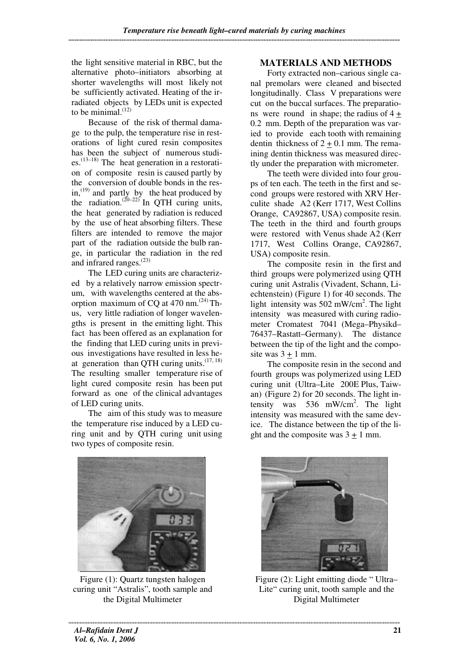the light sensitive material in RBC, but the alternative photo–initiators absorbing at shorter wavelengths will most likely not be sufficiently activated. Heating of the irradiated objects by LEDs unit is expected to be minimal. $(12)$ 

Because of the risk of thermal damage to the pulp, the temperature rise in restorations of light cured resin composites has been the subject of numerous studies. $^{(13-18)}$  The heat generation in a restoration of composite resin is caused partly by the conversion of double bonds in the resin, $^{(19)}$  and partly by the heat produced by the radiation.<sup> $(20-22)$ </sup> In QTH curing units, the heat generated by radiation is reduced by the use of heat absorbing filters. These filters are intended to remove the major part of the radiation outside the bulb range, in particular the radiation in the red and infrared ranges. $(23)$ 

The LED curing units are characterized by a relatively narrow emission spectrum, with wavelengths centered at the absorption maximum of CQ at  $470$  nm.<sup> $(24)$ </sup> Thus, very little radiation of longer wavelengths is present in the emitting light. This fact has been offered as an explanation for the finding that LED curing units in previous investigations have resulted in less heat generation than QTH curing units. $(17, 18)$ The resulting smaller temperature rise of light cured composite resin has been put forward as one of the clinical advantages of LED curing units.

The aim of this study was to measure the temperature rise induced by a LED curing unit and by QTH curing unit using two types of composite resin.



Figure (1): Quartz tungsten halogen curing unit "Astralis", tooth sample and the Digital Multimeter

# **MATERIALS AND METHODS**

Forty extracted non–carious single canal premolars were cleaned and bisected longitudinally. Class V preparations were cut on the buccal surfaces. The preparations were round in shape; the radius of  $4 +$ 0.2 mm. Depth of the preparation was varied to provide each tooth with remaining dentin thickness of  $2 + 0.1$  mm. The remaining dentin thickness was measured directly under the preparation with micrometer.

The teeth were divided into four groups of ten each. The teeth in the first and second groups were restored with XRV Herculite shade A2 (Kerr 1717, West Collins Orange, CA92867, USA) composite resin. The teeth in the third and fourth groups were restored with Venus shade A2 (Kerr 1717, West Collins Orange, CA92867, USA) composite resin.

The composite resin in the first and third groups were polymerized using QTH curing unit Astralis (Vivadent, Schann, Liechtenstein) (Figure 1) for 40 seconds. The light intensity was 502 mW/cm<sup>2</sup>. The light intensity was measured with curing radiometer Cromatest 7041 (Mega–Physikd– 76437–Rastatt–Germany). The distance between the tip of the light and the composite was  $3 + 1$  mm.

The composite resin in the second and fourth groups was polymerized using LED curing unit (Ultra–Lite 200E Plus, Taiwan) (Figure 2) for 20 seconds. The light intensity was 536 mW/cm<sup>2</sup>. The light intensity was measured with the same device. The distance between the tip of the light and the composite was  $3 \pm 1$  mm.



Figure (2): Light emitting diode " Ultra– Lite" curing unit, tooth sample and the Digital Multimeter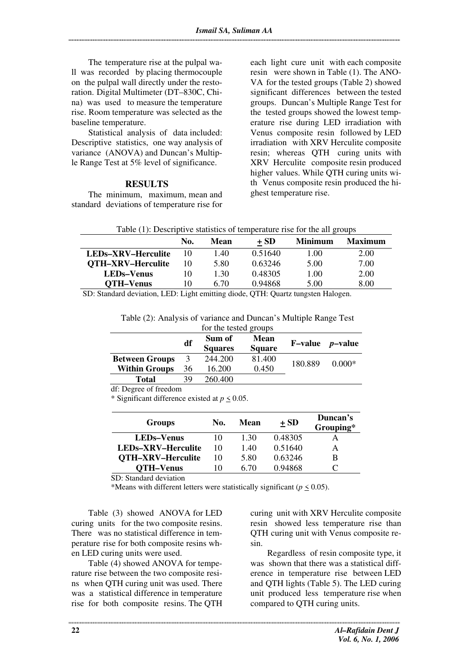The temperature rise at the pulpal wall was recorded by placing thermocouple on the pulpal wall directly under the restoration. Digital Multimeter (DT–830C, China) was used to measure the temperature rise. Room temperature was selected as the baseline temperature.

Statistical analysis of data included: Descriptive statistics, one way analysis of variance (ANOVA) and Duncan's Multiple Range Test at 5% level of significance.

#### **RESULTS**

The minimum, maximum, mean and standard deviations of temperature rise for each light cure unit with each composite resin were shown in Table (1). The ANO-VA for the tested groups (Table 2) showed significant differences between the tested groups. Duncan's Multiple Range Test for the tested groups showed the lowest temperature rise during LED irradiation with Venus composite resin followed by LED irradiation with XRV Herculite composite resin; whereas QTH curing units with XRV Herculite composite resin produced higher values. While QTH curing units with Venus composite resin produced the highest temperature rise.

| Table (1): Descriptive statistics of temperature rise for the all groups |  |  |
|--------------------------------------------------------------------------|--|--|
|                                                                          |  |  |

|                    | No. | Mean | $+SD$   | <b>Minimum</b> | <b>Maximum</b> |
|--------------------|-----|------|---------|----------------|----------------|
| LEDs-XRV-Herculite |     | L.40 | 0.51640 | 1.00           | 2.00           |
| QTH-XRV-Herculite  | 10  | 5.80 | 0.63246 | 5.00           | 7.00           |
| <b>LEDs–Venus</b>  | 10  | 1.30 | 0.48305 | 1.00           | 2.00           |
| <b>OTH-Venus</b>   | 10  | 6.70 | 0.94868 | 5.00           | 8.00           |

SD: Standard deviation, LED: Light emitting diode, QTH: Quartz tungsten Halogen.

Table (2): Analysis of variance and Duncan's Multiple Range Test

| for the tested groups |    |                |               |                 |                 |  |  |
|-----------------------|----|----------------|---------------|-----------------|-----------------|--|--|
|                       | df | Sum of         | <b>Mean</b>   | <b>F</b> –value | <i>p</i> –value |  |  |
|                       |    | <b>Squares</b> | <b>Square</b> |                 |                 |  |  |
| <b>Between Groups</b> | 3  | 244.200        | 81.400        | 180.889         | $0.000*$        |  |  |
| <b>Within Groups</b>  | 36 | 16.200         | 0.450         |                 |                 |  |  |
| <b>Total</b>          | 39 | 260.400        |               |                 |                 |  |  |

df: Degree of freedom

\* Significant difference existed at *p* < 0.05.

| <b>Groups</b>            | No. | Mean | $+SD$   | Duncan's<br>Grouping* |
|--------------------------|-----|------|---------|-----------------------|
| <b>LEDs–Venus</b>        | 10  | 1 30 | 0.48305 |                       |
| LEDs-XRV-Herculite       | 10  | 1.40 | 0.51640 | А                     |
| <b>OTH-XRV-Herculite</b> | 10  | 5.80 | 0.63246 | в                     |
| <b>OTH-Venus</b>         | 10  | 6.70 | 0.94868 |                       |

SD: Standard deviation

\*Means with different letters were statistically significant ( $p \le 0.05$ ).

Table (3) showed ANOVA for LED curing units for the two composite resins. There was no statistical difference in temperature rise for both composite resins when LED curing units were used.

Table (4) showed ANOVA for temperature rise between the two composite resins when QTH curing unit was used. There was a statistical difference in temperature rise for both composite resins. The QTH curing unit with XRV Herculite composite resin showed less temperature rise than QTH curing unit with Venus composite resin.

Regardless of resin composite type, it was shown that there was a statistical difference in temperature rise between LED and QTH lights (Table 5). The LED curing unit produced less temperature rise when compared to QTH curing units.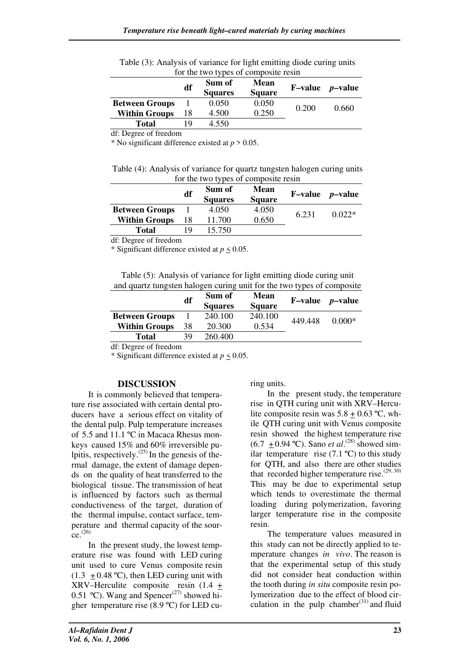|                       | df  | Sum of<br><b>Squares</b> | <b>Mean</b><br><b>Square</b> |       | $F-value$ <i>p</i> -value |
|-----------------------|-----|--------------------------|------------------------------|-------|---------------------------|
| <b>Between Groups</b> |     | 0.050                    | 0.050                        |       | 0.660                     |
| <b>Within Groups</b>  | 18  | 4.500                    | 0.250                        | 0.200 |                           |
| Total                 | 1 Q | 4.550                    |                              |       |                           |

Table (3): Analysis of variance for light emitting diode curing units for the two types of composite resin

df: Degree of freedom

\* No significant difference existed at *p* > 0.05.

Table (4): Analysis of variance for quartz tungsten halogen curing units for the two types of composite resin

| df | Sum of<br><b>Squares</b> | <b>Mean</b><br><b>Square</b> | $F-value$ <i>p</i> -value |        |
|----|--------------------------|------------------------------|---------------------------|--------|
|    | 4.050                    | 4.050                        |                           | 0.022* |
| 18 | 11.700                   | 0.650                        |                           |        |
| 19 | 15.750                   |                              |                           |        |
|    |                          |                              |                           | 6.231  |

df: Degree of freedom

\* Significant difference existed at *p* < 0.05.

| Table (5): Analysis of variance for light emitting diode curing unit   |  |
|------------------------------------------------------------------------|--|
| and quartz tungsten halogen curing unit for the two types of composite |  |

|                       | df | Sum of<br><b>Squares</b> | <b>Mean</b><br><b>Square</b> |         | $F-value$ <i>p</i> -value |
|-----------------------|----|--------------------------|------------------------------|---------|---------------------------|
| <b>Between Groups</b> |    | 240.100                  | 240.100                      |         | $0.000*$                  |
| <b>Within Groups</b>  | 38 | 20.300                   | 0.534                        | 449.448 |                           |
| Total                 | 39 | 260.400                  |                              |         |                           |
|                       |    |                          |                              |         |                           |

df: Degree of freedom

\* Significant difference existed at *p* < 0.05.

# **DISCUSSION**

It is commonly believed that temperature rise associated with certain dental producers have a serious effect on vitality of the dental pulp. Pulp temperature increases of 5.5 and 11.1 ºC in Macaca Rhesus monkeys caused 15% and 60% irreversible pulpitis, respectively.<sup> $(25)$ </sup> In the genesis of thermal damage, the extent of damage depends on the quality of heat transferred to the biological tissue. The transmission of heat is influenced by factors such as thermal conductiveness of the target, duration of the thermal impulse, contact surface, temperature and thermal capacity of the sour- $\text{ce}^{(26)}$ 

In the present study, the lowest temperature rise was found with LED curing unit used to cure Venus composite resin  $(1.3 + 0.48 \text{ °C})$ , then LED curing unit with XRV–Herculite composite resin  $(1.4 +$ 0.51 °C). Wang and Spencer<sup>(27)</sup> showed higher temperature rise (8.9 ºC) for LED curing units.

In the present study, the temperature rise in QTH curing unit with XRV–Herculite composite resin was  $5.8 + 0.63$  °C, while QTH curing unit with Venus composite resin showed the highest temperature rise  $(6.7 \pm 0.94 \text{ °C})$ . Sano *et al.*<sup>(28)</sup> showed similar temperature rise  $(7.1 \text{ °C})$  to this study for QTH, and also there are other studies that recorded higher temperature rise. $(29, 30)$ This may be due to experimental setup which tends to overestimate the thermal loading during polymerization, favoring larger temperature rise in the composite resin.

The temperature values measured in this study can not be directly applied to temperature changes *in vivo*. The reason is that the experimental setup of this study did not consider heat conduction within the tooth during *in situ* composite resin polymerization due to the effect of blood circulation in the pulp chamber $(31)$  and fluid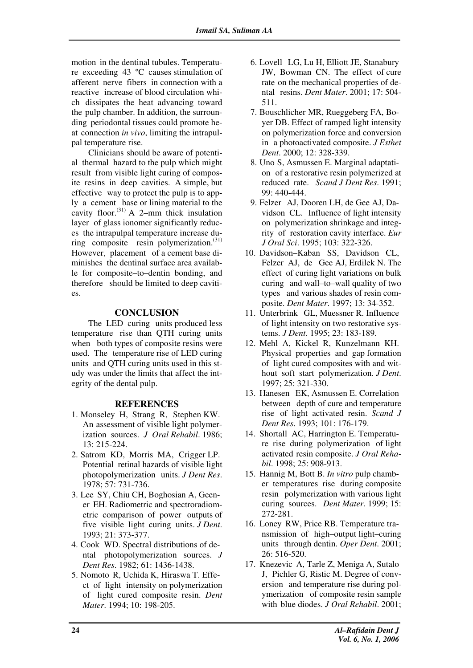motion in the dentinal tubules. Temperature exceeding 43 ºC causes stimulation of afferent nerve fibers in connection with a reactive increase of blood circulation which dissipates the heat advancing toward the pulp chamber. In addition, the surrounding periodontal tissues could promote heat connection *in vivo*, limiting the intrapulpal temperature rise.

Clinicians should be aware of potential thermal hazard to the pulp which might result from visible light curing of composite resins in deep cavities. A simple, but effective way to protect the pulp is to apply a cement base or lining material to the cavity floor.<sup> $(31)$ </sup> A 2–mm thick insulation layer of glass ionomer significantly reduces the intrapulpal temperature increase during composite resin polymerization.(31) However, placement of a cement base diminishes the dentinal surface area available for composite–to–dentin bonding, and therefore should be limited to deep cavities.

## **CONCLUSION**

The LED curing units produced less temperature rise than QTH curing units when both types of composite resins were used. The temperature rise of LED curing units and QTH curing units used in this study was under the limits that affect the integrity of the dental pulp.

### **REFERENCES**

- 1. Monseley H, Strang R, Stephen KW. An assessment of visible light polymerization sources. *J Oral Rehabil*. 1986; 13: 215-224.
- 2. Satrom KD, Morris MA, Crigger LP. Potential retinal hazards of visible light photopolymerization units. *J Dent Res*. 1978; 57: 731-736.
- 3. Lee SY, Chiu CH, Boghosian A, Geener EH. Radiometric and spectroradiometric comparison of power outputs of five visible light curing units. *J Dent*. 1993; 21: 373-377.
- 4. Cook WD. Spectral distributions of dental photopolymerization sources. *J Dent Res*. 1982; 61: 1436-1438.
- 5. Nomoto R, Uchida K, Hiraswa T. Effect of light intensity on polymerization of light cured composite resin. *Dent Mater*. 1994; 10: 198-205.
- 6. Lovell LG, Lu H, Elliott JE, Stanabury JW, Bowman CN. The effect of cure rate on the mechanical properties of dental resins. *Dent Mater*. 2001; 17: 504- 511.
- 7. Bouschlicher MR, Rueggeberg FA, Boyer DB. Effect of ramped light intensity on polymerization force and conversion in a photoactivated composite. *J Esthet Dent*. 2000; 12: 328-339.
- 8. Uno S, Asmussen E. Marginal adaptation of a restorative resin polymerized at reduced rate. *Scand J Dent Res*. 1991; 99: 440-444.
- 9. Felzer AJ, Dooren LH, de Gee AJ, Davidson CL. Influence of light intensity on polymerization shrinkage and integrity of restoration cavity interface. *Eur J Oral Sci*. 1995; 103: 322-326.
- 10. Davidson–Kaban SS, Davidson CL, Felzer AJ, de Gee AJ, Erdilek N. The effect of curing light variations on bulk curing and wall–to–wall quality of two types and various shades of resin composite. *Dent Mater*. 1997; 13: 34-352.
- 11. Unterbrink GL, Muessner R. Influence of light intensity on two restorative systems. *J Dent*. 1995; 23: 183-189.
- 12. Mehl A, Kickel R, Kunzelmann KH. Physical properties and gap formation of light cured composites with and without soft start polymerization. *J Dent*. 1997; 25: 321-330.
- 13. Hanesen EK, Asmussen E. Correlation between depth of cure and temperature rise of light activated resin. *Scand J Dent Res*. 1993; 101: 176-179.
- 14. Shortall AC, Harrington E. Temperature rise during polymerization of light activated resin composite. *J Oral Rehabil*. 1998; 25: 908-913.
- 15. Hannig M, Bott B. *In vitro* pulp chamber temperatures rise during composite resin polymerization with various light curing sources. *Dent Mater*. 1999; 15: 272-281.
- 16. Loney RW, Price RB. Temperature transmission of high–output light–curing units through dentin. *Oper Dent*. 2001; 26: 516-520.
- 17. Knezevic A, Tarle Z, Meniga A, Sutalo J, Pichler G, Ristic M. Degree of conversion and temperature rise during polymerization of composite resin sample with blue diodes. *J Oral Rehabil*. 2001;